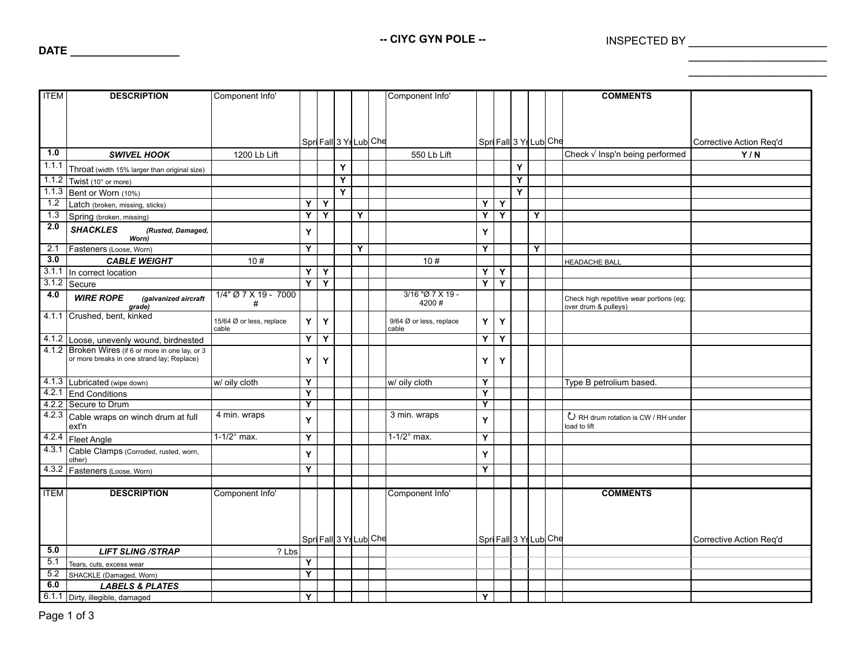-- CIYC GYN POLE -- **INSPECTED BY** 

\_\_\_\_\_\_\_\_\_\_\_\_\_\_\_\_\_\_\_  $\overline{\phantom{a}}$  , where  $\overline{\phantom{a}}$  , where  $\overline{\phantom{a}}$ 

| <b>ITEM</b>      | <b>DESCRIPTION</b>                                | Component Info'          |                         |                        |                         |   | Component Info'         |                |                         |   |   |                        | <b>COMMENTS</b>                          |                         |
|------------------|---------------------------------------------------|--------------------------|-------------------------|------------------------|-------------------------|---|-------------------------|----------------|-------------------------|---|---|------------------------|------------------------------------------|-------------------------|
|                  |                                                   |                          |                         |                        |                         |   |                         |                |                         |   |   |                        |                                          |                         |
|                  |                                                   |                          |                         |                        |                         |   |                         |                |                         |   |   |                        |                                          |                         |
|                  |                                                   |                          |                         |                        |                         |   |                         |                |                         |   |   |                        |                                          |                         |
|                  |                                                   |                          |                         |                        |                         |   |                         |                |                         |   |   |                        |                                          |                         |
|                  |                                                   |                          |                         | Spri Fall 3 Yr Lub Che |                         |   |                         |                |                         |   |   | Spri Fall 3 Yr Lub Che |                                          | Corrective Action Req'd |
| $\overline{1.0}$ | <b>SWIVEL HOOK</b>                                | 1200 Lb Lift             |                         |                        |                         |   | 550 Lb Lift             |                |                         |   |   |                        | Check √ Insp'n being performed           | Y/N                     |
| 1.1.1            | Throat (width 15% larger than original size)      |                          |                         |                        | Y                       |   |                         |                |                         | Y |   |                        |                                          |                         |
| 1.1.2            | Twist (10° or more)                               |                          |                         |                        | $\overline{\mathsf{Y}}$ |   |                         |                |                         | Y |   |                        |                                          |                         |
|                  | 1.1.3 Bent or Worn (10%)                          |                          |                         |                        | Ÿ                       |   |                         |                |                         | Ÿ |   |                        |                                          |                         |
| $\overline{1.2}$ | Latch (broken, missing, sticks)                   |                          | Y                       | Υ                      |                         |   |                         | Y              | Y                       |   |   |                        |                                          |                         |
| 1.3              | Spring (broken, missing)                          |                          | Ÿ                       | $\overline{Y}$         |                         | Y |                         | Y              | $\overline{\mathsf{Y}}$ |   | Y |                        |                                          |                         |
| 2.0              | <b>SHACKLES</b><br>(Rusted, Damaged,              |                          | Y                       |                        |                         |   |                         | Y              |                         |   |   |                        |                                          |                         |
|                  | Worn)                                             |                          |                         |                        |                         |   |                         |                |                         |   |   |                        |                                          |                         |
| 2.1              | Fasteners (Loose, Worn)                           |                          | Y                       |                        |                         | Y |                         | Y              |                         |   | Y |                        |                                          |                         |
| 3.0              | <b>CABLE WEIGHT</b>                               | 10#                      |                         |                        |                         |   | 10#                     |                |                         |   |   |                        | <b>HEADACHE BALL</b>                     |                         |
| 3.1.1            | In correct location                               |                          | Y                       | Υ                      |                         |   |                         | Y              | Y                       |   |   |                        |                                          |                         |
| 3.1.2            | Secure                                            |                          | Ÿ                       | Y                      |                         |   |                         | Y              | Y                       |   |   |                        |                                          |                         |
| 4.0              | <b>WIRE ROPE</b><br>(galvanized aircraft          | 1/4" Ø 7 X 19 - 7000     |                         |                        |                         |   | $3/16$ "Ø 7 X 19 -      |                |                         |   |   |                        | Check high repetitive wear portions (eg; |                         |
|                  | grade)                                            | #                        |                         |                        |                         |   | 4200#                   |                |                         |   |   |                        | over drum & pulleys)                     |                         |
|                  | 4.1.1 Crushed, bent, kinked                       | 15/64 Ø or less, replace | Y                       | Y                      |                         |   | 9/64 Ø or less, replace | Y              | Y                       |   |   |                        |                                          |                         |
|                  |                                                   | cable                    |                         |                        |                         |   | cable                   |                |                         |   |   |                        |                                          |                         |
|                  | 4.1.2 Loose, unevenly wound, birdnested           |                          | Ÿ                       | Y                      |                         |   |                         | $\overline{Y}$ | $\overline{Y}$          |   |   |                        |                                          |                         |
|                  | 4.1.2 Broken Wires (if 6 or more in one lay, or 3 |                          |                         |                        |                         |   |                         |                |                         |   |   |                        |                                          |                         |
|                  | or more breaks in one strand lay; Replace)        |                          | Υ                       | Y                      |                         |   |                         | Y              | Y                       |   |   |                        |                                          |                         |
|                  |                                                   |                          |                         |                        |                         |   |                         |                |                         |   |   |                        |                                          |                         |
|                  | 4.1.3 Lubricated (wipe down)                      | w/ oily cloth            | Y                       |                        |                         |   | w/ oily cloth           | Y              |                         |   |   |                        | Type B petrolium based.                  |                         |
|                  | 4.2.1 End Conditions                              |                          | Y                       |                        |                         |   |                         | Y              |                         |   |   |                        |                                          |                         |
|                  | 4.2.2 Secure to Drum                              |                          | $\overline{\mathsf{Y}}$ |                        |                         |   |                         | $\overline{Y}$ |                         |   |   |                        |                                          |                         |
|                  | 4.2.3 Cable wraps on winch drum at full           | 4 min. wraps             | Y                       |                        |                         |   | 3 min. wraps            | Y              |                         |   |   |                        | U RH drum rotation is CW / RH under      |                         |
|                  | ext'n                                             |                          |                         |                        |                         |   |                         |                |                         |   |   |                        | load to lift                             |                         |
|                  | 4.2.4 Fleet Angle                                 | $1-1/2$ ° max.           | Y                       |                        |                         |   | $1-1/2$ ° max.          | Y              |                         |   |   |                        |                                          |                         |
|                  | 4.3.1 Cable Clamps (Corroded, rusted, worn,       |                          | Y                       |                        |                         |   |                         | Y              |                         |   |   |                        |                                          |                         |
|                  | other)                                            |                          |                         |                        |                         |   |                         |                |                         |   |   |                        |                                          |                         |
|                  | 4.3.2 Fasteners (Loose, Worn)                     |                          | Y                       |                        |                         |   |                         | Y              |                         |   |   |                        |                                          |                         |
|                  |                                                   |                          |                         |                        |                         |   |                         |                |                         |   |   |                        |                                          |                         |
| <b>ITEM</b>      | <b>DESCRIPTION</b>                                | Component Info'          |                         |                        |                         |   | Component Info'         |                |                         |   |   |                        | <b>COMMENTS</b>                          |                         |
|                  |                                                   |                          |                         |                        |                         |   |                         |                |                         |   |   |                        |                                          |                         |
|                  |                                                   |                          |                         |                        |                         |   |                         |                |                         |   |   |                        |                                          |                         |
|                  |                                                   |                          |                         |                        |                         |   |                         |                |                         |   |   |                        |                                          |                         |
|                  |                                                   |                          |                         | SpriFall3 YrLub Che    |                         |   |                         |                |                         |   |   | SpriFall3 YrLub Che    |                                          | Corrective Action Req'd |
| 5.0              | <b>LIFT SLING /STRAP</b>                          | ? Lbs                    |                         |                        |                         |   |                         |                |                         |   |   |                        |                                          |                         |
| 5.1              | Tears, cuts, excess wear                          |                          | Y                       |                        |                         |   |                         |                |                         |   |   |                        |                                          |                         |
| 5.2              | SHACKLE (Damaged, Worn)                           |                          | Y                       |                        |                         |   |                         |                |                         |   |   |                        |                                          |                         |
| 6.0              | <b>LABELS &amp; PLATES</b>                        |                          |                         |                        |                         |   |                         |                |                         |   |   |                        |                                          |                         |
|                  | 6.1.1 Dirty, illegible, damaged                   |                          | Y                       |                        |                         |   |                         | Y              |                         |   |   |                        |                                          |                         |

**DATE \_\_\_\_\_\_\_\_\_\_\_\_\_\_\_\_\_\_**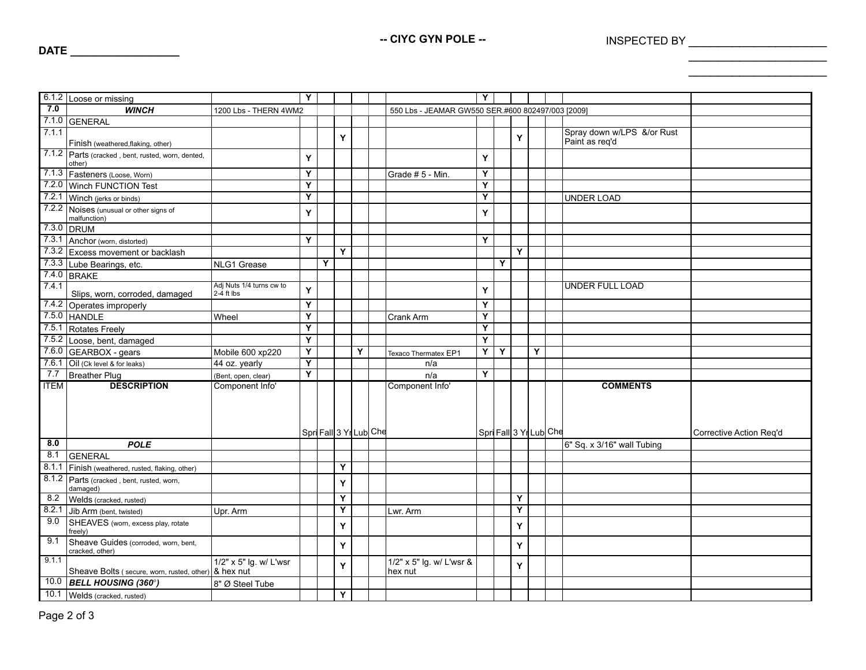-- CIYC GYN POLE -- **INSPECTED BY** 

 $\overline{\phantom{a}}$  , where  $\overline{\phantom{a}}$  , where  $\overline{\phantom{a}}$  , where  $\overline{\phantom{a}}$  $\overline{\phantom{a}}$  , where  $\overline{\phantom{a}}$  , where  $\overline{\phantom{a}}$ 

|                  | 6.1.2 Loose or missing                                      |                          | Y                       |                       |   |   |                                                   | Y                       |   |                        |   |                                              |                         |
|------------------|-------------------------------------------------------------|--------------------------|-------------------------|-----------------------|---|---|---------------------------------------------------|-------------------------|---|------------------------|---|----------------------------------------------|-------------------------|
| $\overline{7.0}$ |                                                             |                          |                         |                       |   |   |                                                   |                         |   |                        |   |                                              |                         |
|                  | <b>WINCH</b>                                                | 1200 Lbs - THERN 4WM2    |                         |                       |   |   | 550 Lbs - JEAMAR GW550 SER.#600 802497/003 [2009] |                         |   |                        |   |                                              |                         |
| 7.1.1            | 7.1.0 GENERAL                                               |                          |                         |                       |   |   |                                                   |                         |   |                        |   |                                              |                         |
|                  | Finish (weathered, flaking, other)                          |                          |                         |                       | Y |   |                                                   |                         |   | Y                      |   | Spray down w/LPS &/or Rust<br>Paint as req'd |                         |
|                  | 7.1.2 Parts (cracked, bent, rusted, worn, dented,<br>other) |                          | Y                       |                       |   |   |                                                   | Y                       |   |                        |   |                                              |                         |
|                  | 7.1.3 Fasteners (Loose, Worn)                               |                          | Y                       |                       |   |   | Grade #5 - Min.                                   | Y                       |   |                        |   |                                              |                         |
|                  | 7.2.0 Winch FUNCTION Test                                   |                          | $\overline{\mathsf{Y}}$ |                       |   |   |                                                   | Y                       |   |                        |   |                                              |                         |
|                  | 7.2.1 Winch (jerks or binds)                                |                          | Y                       |                       |   |   |                                                   | Y                       |   |                        |   | UNDER LOAD                                   |                         |
|                  | 7.2.2 Noises (unusual or other signs of                     |                          | Y                       |                       |   |   |                                                   | Y                       |   |                        |   |                                              |                         |
|                  | malfunction)<br>7.3.0 DRUM                                  |                          |                         |                       |   |   |                                                   |                         |   |                        |   |                                              |                         |
|                  |                                                             |                          | Y                       |                       |   |   |                                                   | Y                       |   |                        |   |                                              |                         |
|                  | 7.3.1 Anchor (worn, distorted)                              |                          |                         |                       | Y |   |                                                   |                         |   | Y                      |   |                                              |                         |
|                  | 7.3.2 Excess movement or backlash                           |                          |                         | Y                     |   |   |                                                   |                         |   |                        |   |                                              |                         |
|                  | 7.3.3 Lube Bearings, etc.                                   | NLG1 Grease              |                         |                       |   |   |                                                   |                         | Y |                        |   |                                              |                         |
|                  | 7.4.0 BRAKE                                                 | Adj Nuts 1/4 turns cw to |                         |                       |   |   |                                                   |                         |   |                        |   |                                              |                         |
| 7.4.1            | Slips, worn, corroded, damaged                              | $2-4$ ft lbs             | Y                       |                       |   |   |                                                   | Y                       |   |                        |   | <b>UNDER FULL LOAD</b>                       |                         |
|                  | 7.4.2 Operates improperly                                   |                          | $\overline{\mathsf{Y}}$ |                       |   |   |                                                   | Y                       |   |                        |   |                                              |                         |
|                  | 7.5.0 HANDLE                                                | Wheel                    | Y                       |                       |   |   | Crank Arm                                         | Y                       |   |                        |   |                                              |                         |
|                  | 7.5.1 Rotates Freely                                        |                          | $\overline{\mathsf{Y}}$ |                       |   |   |                                                   | $\overline{\mathsf{Y}}$ |   |                        |   |                                              |                         |
| 7.5.2            | Loose, bent, damaged                                        |                          | $\overline{\mathbf{Y}}$ |                       |   |   |                                                   | $\overline{\mathsf{Y}}$ |   |                        |   |                                              |                         |
|                  | 7.6.0 GEARBOX - gears                                       | Mobile 600 xp220         | Υ                       |                       |   | Y | Texaco Thermatex EP1                              | Ÿ                       | Y |                        | Y |                                              |                         |
|                  | 7.6.1 Oil (Ck level & for leaks)                            | 44 oz. yearly            | $\overline{\mathsf{Y}}$ |                       |   |   | n/a                                               |                         |   |                        |   |                                              |                         |
| 7.7              | <b>Breather Plug</b>                                        | (Bent, open, clear)      | $\overline{\mathsf{Y}}$ |                       |   |   | n/a                                               | $\overline{Y}$          |   |                        |   |                                              |                         |
| <b>ITEM</b>      | <b>DESCRIPTION</b>                                          | Component Info'          |                         |                       |   |   | Component Info'                                   |                         |   |                        |   | <b>COMMENTS</b>                              |                         |
|                  |                                                             |                          |                         |                       |   |   |                                                   |                         |   |                        |   |                                              |                         |
|                  |                                                             |                          |                         |                       |   |   |                                                   |                         |   |                        |   |                                              |                         |
|                  |                                                             |                          |                         |                       |   |   |                                                   |                         |   |                        |   |                                              |                         |
|                  |                                                             |                          |                         | SpriFall 3 Yr Lub Che |   |   |                                                   |                         |   | Spri Fall 3 Yr Lub Che |   |                                              | Corrective Action Reg'd |
| 8.0              | <b>POLE</b>                                                 |                          |                         |                       |   |   |                                                   |                         |   |                        |   | 6" Sq. x 3/16" wall Tubing                   |                         |
| 8.1              | <b>GENERAL</b>                                              |                          |                         |                       |   |   |                                                   |                         |   |                        |   |                                              |                         |
| 8.1.1            | Finish (weathered, rusted, flaking, other)                  |                          |                         |                       | Y |   |                                                   |                         |   |                        |   |                                              |                         |
| 8.1.2            | Parts (cracked, bent, rusted, worn,<br>damaged)             |                          |                         |                       | Y |   |                                                   |                         |   |                        |   |                                              |                         |
| 8.2              | Welds (cracked, rusted)                                     |                          |                         |                       | Y |   |                                                   |                         |   | Υ                      |   |                                              |                         |
| 8.2.1            | Jib Arm (bent, twisted)                                     | Upr. Arm                 |                         |                       | Y |   | Lwr. Arm                                          |                         |   | Y                      |   |                                              |                         |
| 9.0              | SHEAVES (worn, excess play, rotate<br>freely)               |                          |                         |                       | Υ |   |                                                   |                         |   | Υ                      |   |                                              |                         |
| 9.1              | Sheave Guides (corroded, worn, bent,<br>cracked, other)     |                          |                         |                       | Y |   |                                                   |                         |   | Y                      |   |                                              |                         |
| 9.1.1            |                                                             | 1/2" x 5" lg. w/ L'wsr   |                         |                       |   |   | 1/2" x 5" lg. w/ L'wsr &                          |                         |   |                        |   |                                              |                         |
|                  | Sheave Bolts (secure, worn, rusted, other) & hex nut        |                          |                         |                       | Y |   | hex nut                                           |                         |   | Υ                      |   |                                              |                         |
|                  | $\overline{10.0}$ BELL HOUSING (360°)                       | 8" Ø Steel Tube          |                         |                       |   |   |                                                   |                         |   |                        |   |                                              |                         |
|                  | 10.1 Welds (cracked, rusted)                                |                          |                         |                       | Y |   |                                                   |                         |   |                        |   |                                              |                         |

**DATE \_\_\_\_\_\_\_\_\_\_\_\_\_\_\_\_\_\_**